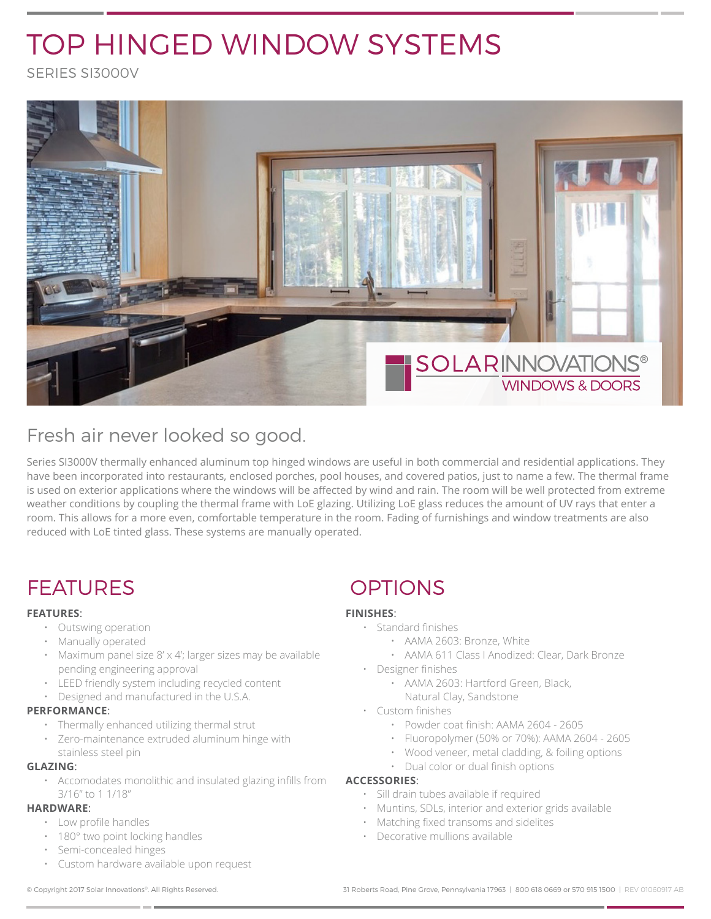# TOP HINGED WINDOW SYSTEMS

SERIES SI3000V



## Fresh air never looked so good.

Series SI3000V thermally enhanced aluminum top hinged windows are useful in both commercial and residential applications. They have been incorporated into restaurants, enclosed porches, pool houses, and covered patios, just to name a few. The thermal frame is used on exterior applications where the windows will be affected by wind and rain. The room will be well protected from extreme weather conditions by coupling the thermal frame with LoE glazing. Utilizing LoE glass reduces the amount of UV rays that enter a room. This allows for a more even, comfortable temperature in the room. Fading of furnishings and window treatments are also reduced with LoE tinted glass. These systems are manually operated.

## FEATURES OPTIONS

#### **FEATURES**:

- Outswing operation
- Manually operated
- Maximum panel size 8' x 4'; larger sizes may be available pending engineering approval
- LEED friendly system including recycled content
- Designed and manufactured in the U.S.A.

#### **PERFORMANCE**:

- Thermally enhanced utilizing thermal strut
- Zero-maintenance extruded aluminum hinge with stainless steel pin

#### **GLAZING**:

• Accomodates monolithic and insulated glazing infills from 3/16" to 1 1/18"

#### **HARDWARE**:

- Low profile handles
- 180° two point locking handles
- Semi-concealed hinges
- Custom hardware available upon request

### **FINISHES**:

- Standard finishes
	- AAMA 2603: Bronze, White
	- AAMA 611 Class I Anodized: Clear, Dark Bronze
- Designer finishes
	- AAMA 2603: Hartford Green, Black, Natural Clay, Sandstone
- Custom finishes
	- Powder coat finish: AAMA 2604 2605
	- Fluoropolymer (50% or 70%): AAMA 2604 2605
	- Wood veneer, metal cladding, & foiling options
	- Dual color or dual finish options

#### **ACCESSORIES**:

- Sill drain tubes available if required
- Muntins, SDLs, interior and exterior grids available
- Matching fixed transoms and sidelites
- Decorative mullions available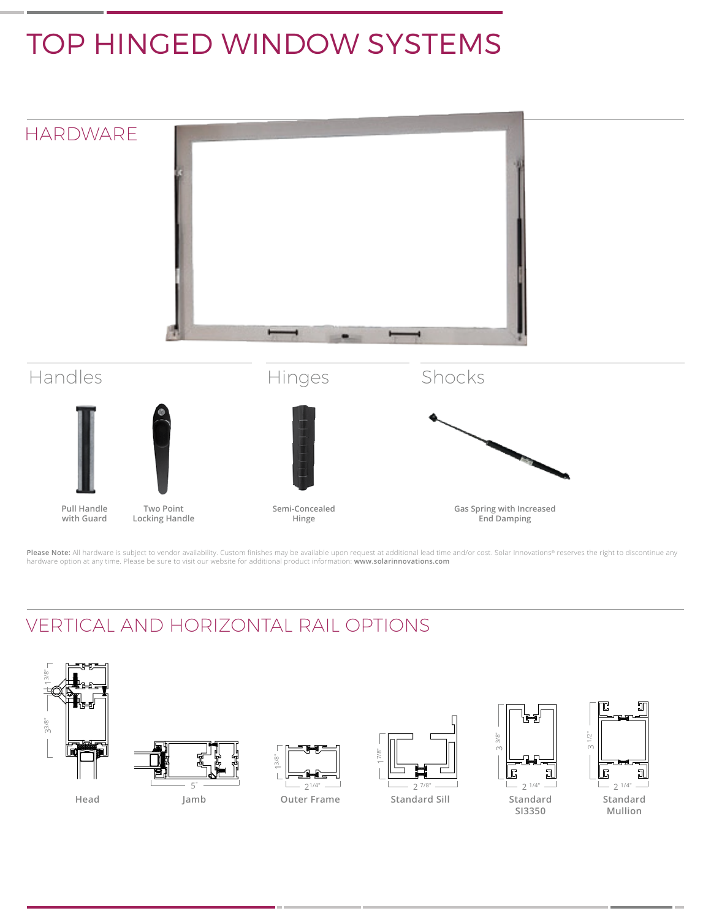## TOP HINGED WINDOW SYSTEMS



**Gas Spring with Increased End Damping**

**Please Note:** All hardware is subject to vendor availability. Custom finishes may be available upon request at additional lead time and/or cost. Solar Innovations® reserves the right to discontinue any<br>hardware option at

**Hinge** 

## VERTICAL AND HORIZONTAL RAIL OPTIONS

**with Guard**

**Locking Handle**



**COLL**